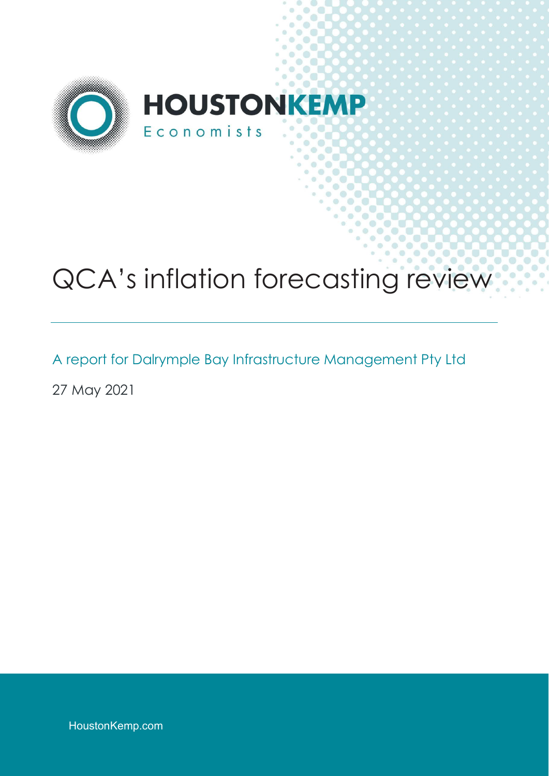

# QCA's inflation forecasting review

A report for Dalrymple Bay Infrastructure Management Pty Ltd

27 May 2021

HoustonKemp.com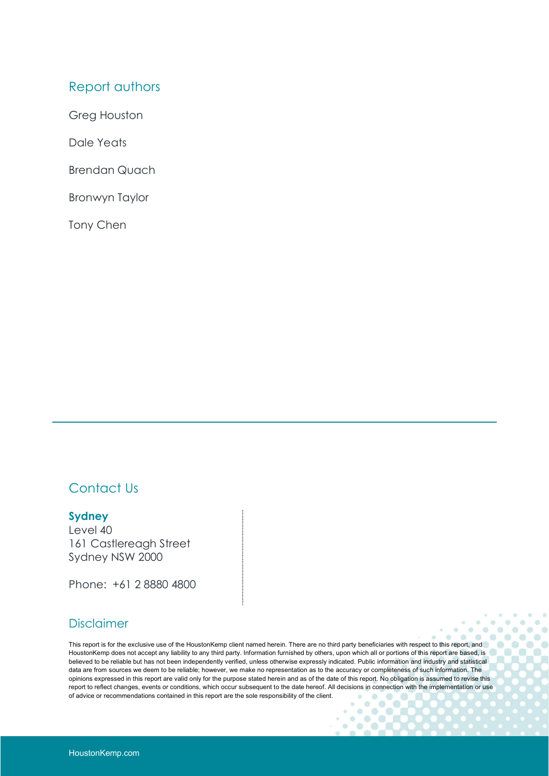## Report authors

Greg Houston

Dale Yeats

Brendan Quach

Bronwyn Taylor

Tony Chen

## Contact Us

### **Sydney**

Level 40 161 Castlereagh Street Sydney NSW 2000

Phone: +61 2 8880 4800

### Disclaimer

This report is for the exclusive use of the HoustonKemp client named herein. There are no third party beneficiaries with respect to this report, and HoustonKemp does not accept any liability to any third party. Information furnished by others, upon which all or portions of this report are based, is believed to be reliable but has not been independently verified, unless otherwise expressly indicated. Public information and industry and statistical data are from sources we deem to be reliable; however, we make no representation as to the accuracy or completeness of such information. The opinions expressed in this report are valid only for the purpose stated herein and as of the date of this report. No obligation is assumed to revise this report to reflect changes, events or conditions, which occur subsequent to the date hereof. All decisions in connection with the implementation or use of advice or recommendations contained in this report are the sole responsibility of the client.ö  $\bullet$ 

 $\ddot{\phantom{a}}$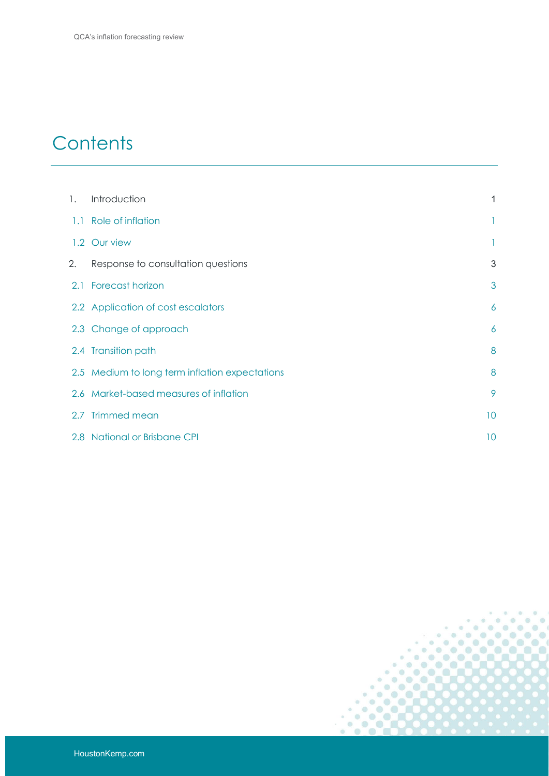## **Contents**

| 1. | Introduction                                   | 1  |
|----|------------------------------------------------|----|
|    | 1.1 Role of inflation                          | 1  |
|    | 1.2 Our view                                   | L  |
| 2. | Response to consultation questions             | 3  |
|    | 2.1 Forecast horizon                           | 3  |
|    | 2.2 Application of cost escalators             | 6  |
|    | 2.3 Change of approach                         | 6  |
|    | 2.4 Transition path                            | 8  |
|    | 2.5 Medium to long term inflation expectations | 8  |
|    | 2.6 Market-based measures of inflation         | 9  |
|    | 2.7 Trimmed mean                               | 10 |
|    | 2.8 National or Brisbane CPI                   | 10 |

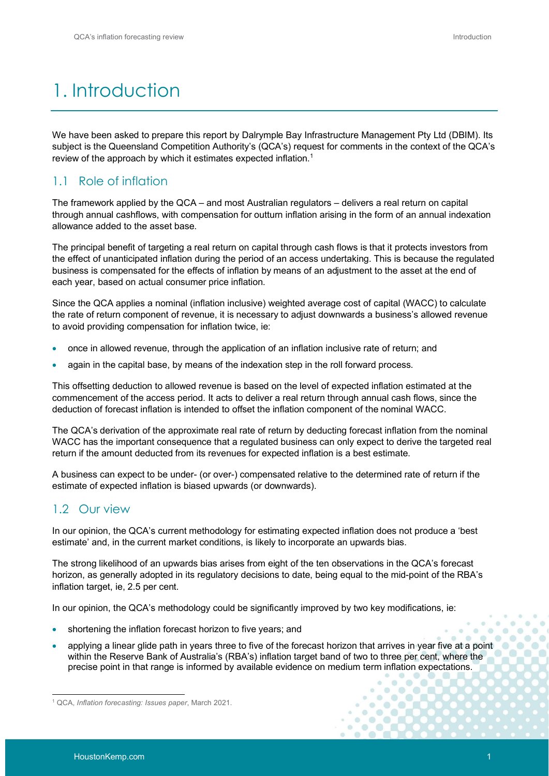## 1. Introduction

We have been asked to prepare this report by Dalrymple Bay Infrastructure Management Pty Ltd (DBIM). Its subject is the Queensland Competition Authority's (QCA's) request for comments in the context of the QCA's review of the approach by which it estimates expected inflation.<sup>1</sup>

## 1.1 Role of inflation

The framework applied by the QCA – and most Australian regulators – delivers a real return on capital through annual cashflows, with compensation for outturn inflation arising in the form of an annual indexation allowance added to the asset base.

The principal benefit of targeting a real return on capital through cash flows is that it protects investors from the effect of unanticipated inflation during the period of an access undertaking. This is because the regulated business is compensated for the effects of inflation by means of an adjustment to the asset at the end of each year, based on actual consumer price inflation.

Since the QCA applies a nominal (inflation inclusive) weighted average cost of capital (WACC) to calculate the rate of return component of revenue, it is necessary to adjust downwards a business's allowed revenue to avoid providing compensation for inflation twice, ie:

- once in allowed revenue, through the application of an inflation inclusive rate of return; and
- again in the capital base, by means of the indexation step in the roll forward process.

This offsetting deduction to allowed revenue is based on the level of expected inflation estimated at the commencement of the access period. It acts to deliver a real return through annual cash flows, since the deduction of forecast inflation is intended to offset the inflation component of the nominal WACC.

The QCA's derivation of the approximate real rate of return by deducting forecast inflation from the nominal WACC has the important consequence that a regulated business can only expect to derive the targeted real return if the amount deducted from its revenues for expected inflation is a best estimate.

A business can expect to be under- (or over-) compensated relative to the determined rate of return if the estimate of expected inflation is biased upwards (or downwards).

## 1.2 Our view

In our opinion, the QCA's current methodology for estimating expected inflation does not produce a 'best estimate' and, in the current market conditions, is likely to incorporate an upwards bias.

The strong likelihood of an upwards bias arises from eight of the ten observations in the QCA's forecast horizon, as generally adopted in its regulatory decisions to date, being equal to the mid-point of the RBA's inflation target, ie, 2.5 per cent.

In our opinion, the QCA's methodology could be significantly improved by two key modifications, ie:

- shortening the inflation forecast horizon to five years; and
- applying a linear glide path in years three to five of the forecast horizon that arrives in year five at a point within the Reserve Bank of Australia's (RBA's) inflation target band of two to three per cent, where the precise point in that range is informed by available evidence on medium term inflation expectations.

<sup>1</sup> QCA, *Inflation forecasting: Issues paper*, March 2021.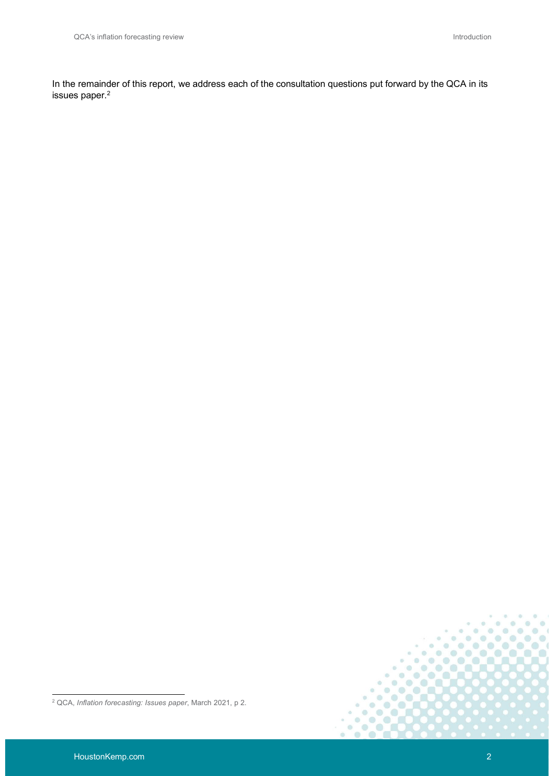In the remainder of this report, we address each of the consultation questions put forward by the QCA in its issues paper.<sup>2</sup>



<sup>2</sup> QCA, *Inflation forecasting: Issues paper*, March 2021, p 2.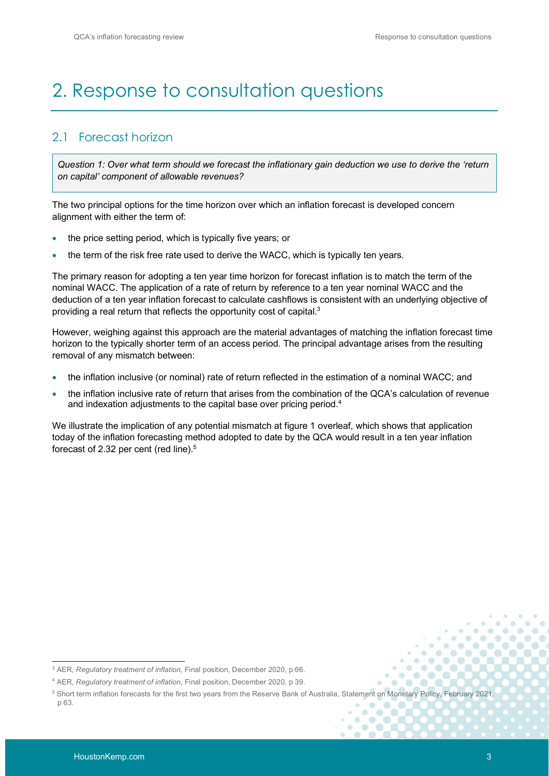## 2. Response to consultation questions

## 2.1 Forecast horizon

*Question 1: Over what term should we forecast the inflationary gain deduction we use to derive the 'return on capital' component of allowable revenues?*

The two principal options for the time horizon over which an inflation forecast is developed concern alignment with either the term of:

- the price setting period, which is typically five years; or
- the term of the risk free rate used to derive the WACC, which is typically ten years.

The primary reason for adopting a ten year time horizon for forecast inflation is to match the term of the nominal WACC. The application of a rate of return by reference to a ten year nominal WACC and the deduction of a ten year inflation forecast to calculate cashflows is consistent with an underlying objective of providing a real return that reflects the opportunity cost of capital.<sup>3</sup>

However, weighing against this approach are the material advantages of matching the inflation forecast time horizon to the typically shorter term of an access period. The principal advantage arises from the resulting removal of any mismatch between:

- the inflation inclusive (or nominal) rate of return reflected in the estimation of a nominal WACC; and
- the inflation inclusive rate of return that arises from the combination of the QCA's calculation of revenue and indexation adjustments to the capital base over pricing period.<sup>4</sup>

We illustrate the implication of any potential mismatch at figure 1 overleaf, which shows that application today of the inflation forecasting method adopted to date by the QCA would result in a ten year inflation forecast of 2.32 per cent (red line).<sup>5</sup>

ä

<sup>3</sup> AER, *Regulatory treatment of inflation*, Final position, December 2020, p 66.

<sup>4</sup> AER, *Regulatory treatment of inflation*, Final position, December 2020, p 39.

<sup>&</sup>lt;sup>5</sup> Short term inflation forecasts for the first two years from the Reserve Bank of Australia, Statement on Monetary Policy, February 2021, p 63.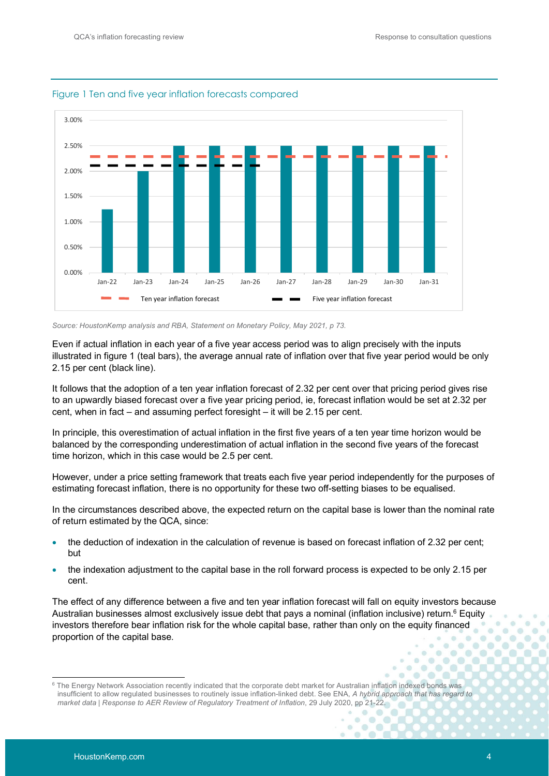

#### Figure 1 Ten and five year inflation forecasts compared

*Source: HoustonKemp analysis and RBA, Statement on Monetary Policy, May 2021, p 73.*

Even if actual inflation in each year of a five year access period was to align precisely with the inputs illustrated in figure 1 (teal bars), the average annual rate of inflation over that five year period would be only 2.15 per cent (black line).

It follows that the adoption of a ten year inflation forecast of 2.32 per cent over that pricing period gives rise to an upwardly biased forecast over a five year pricing period, ie, forecast inflation would be set at 2.32 per cent, when in fact – and assuming perfect foresight – it will be 2.15 per cent.

In principle, this overestimation of actual inflation in the first five years of a ten year time horizon would be balanced by the corresponding underestimation of actual inflation in the second five years of the forecast time horizon, which in this case would be 2.5 per cent.

However, under a price setting framework that treats each five year period independently for the purposes of estimating forecast inflation, there is no opportunity for these two off-setting biases to be equalised.

In the circumstances described above, the expected return on the capital base is lower than the nominal rate of return estimated by the QCA, since:

- the deduction of indexation in the calculation of revenue is based on forecast inflation of 2.32 per cent; but
- the indexation adjustment to the capital base in the roll forward process is expected to be only 2.15 per cent.

The effect of any difference between a five and ten year inflation forecast will fall on equity investors because Australian businesses almost exclusively issue debt that pays a nominal (inflation inclusive) return. $^6$  Equity investors therefore bear inflation risk for the whole capital base, rather than only on the equity financed proportion of the capital base.  $\overline{a}$  $\overline{d}$ in.

 $\circ$  $\circ$  $\bullet$ **in** 

 $\alpha$  $\overline{a}$  $\overline{a}$ 

ö  $\circ$  **CO** 

<sup>&</sup>lt;sup>6</sup> The Energy Network Association recently indicated that the corporate debt market for Australian inflation indexed bonds was insufficient to allow regulated businesses to routinely issue inflation-linked debt. See ENA, *A hybrid approach that has regard to market data | Response to AER Review of Regulatory Treatment of Inflation*, 29 July 2020, pp 21-22.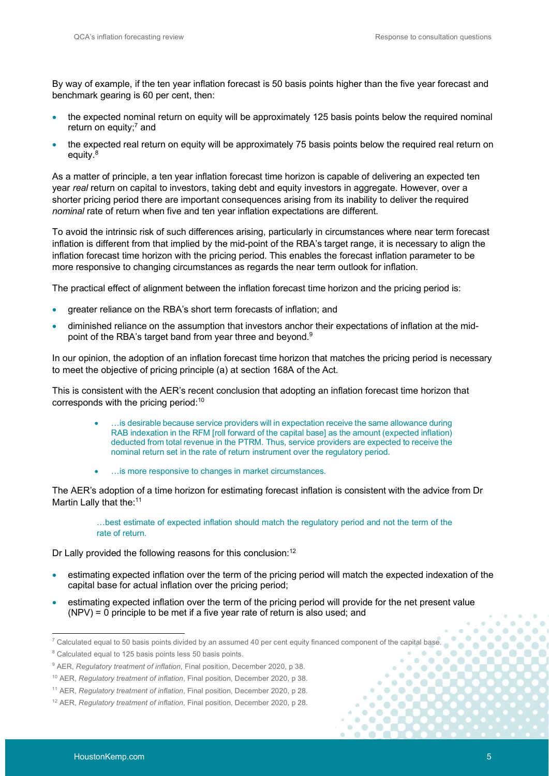By way of example, if the ten year inflation forecast is 50 basis points higher than the five year forecast and benchmark gearing is 60 per cent, then:

- the expected nominal return on equity will be approximately 125 basis points below the required nominal return on equity;<sup>7</sup> and
- the expected real return on equity will be approximately 75 basis points below the required real return on equity.<sup>8</sup>

As a matter of principle, a ten year inflation forecast time horizon is capable of delivering an expected ten year *real* return on capital to investors, taking debt and equity investors in aggregate. However, over a shorter pricing period there are important consequences arising from its inability to deliver the required *nominal* rate of return when five and ten year inflation expectations are different.

To avoid the intrinsic risk of such differences arising, particularly in circumstances where near term forecast inflation is different from that implied by the mid-point of the RBA's target range, it is necessary to align the inflation forecast time horizon with the pricing period. This enables the forecast inflation parameter to be more responsive to changing circumstances as regards the near term outlook for inflation.

The practical effect of alignment between the inflation forecast time horizon and the pricing period is:

- greater reliance on the RBA's short term forecasts of inflation; and
- diminished reliance on the assumption that investors anchor their expectations of inflation at the midpoint of the RBA's target band from year three and beyond.<sup>9</sup>

In our opinion, the adoption of an inflation forecast time horizon that matches the pricing period is necessary to meet the objective of pricing principle (a) at section 168A of the Act.

This is consistent with the AER's recent conclusion that adopting an inflation forecast time horizon that corresponds with the pricing period:<sup>10</sup>

- …is desirable because service providers will in expectation receive the same allowance during RAB indexation in the RFM [roll forward of the capital base] as the amount (expected inflation) deducted from total revenue in the PTRM. Thus, service providers are expected to receive the nominal return set in the rate of return instrument over the regulatory period.
- …is more responsive to changes in market circumstances.

The AER's adoption of a time horizon for estimating forecast inflation is consistent with the advice from Dr Martin Lally that the:<sup>11</sup>

> …best estimate of expected inflation should match the regulatory period and not the term of the rate of return.

Dr Lally provided the following reasons for this conclusion:<sup>12</sup>

- estimating expected inflation over the term of the pricing period will match the expected indexation of the capital base for actual inflation over the pricing period;
- estimating expected inflation over the term of the pricing period will provide for the net present value (NPV) = 0 principle to be met if a five year rate of return is also used; and

**n**  $\blacksquare$  $\triangle$ 

 $^7$  Calculated equal to 50 basis points divided by an assumed 40 per cent equity financed component of the capital base.

<sup>&</sup>lt;sup>8</sup> Calculated equal to 125 basis points less 50 basis points.

<sup>&</sup>lt;sup>9</sup> AER, *Regulatory treatment of inflation*, Final position, December 2020, p 38.

<sup>10</sup> AER, *Regulatory treatment of inflation*, Final position, December 2020, p 38.

<sup>11</sup> AER, *Regulatory treatment of inflation*, Final position, December 2020, p 28.

<sup>12</sup> AER, *Regulatory treatment of inflation*, Final position, December 2020, p 28.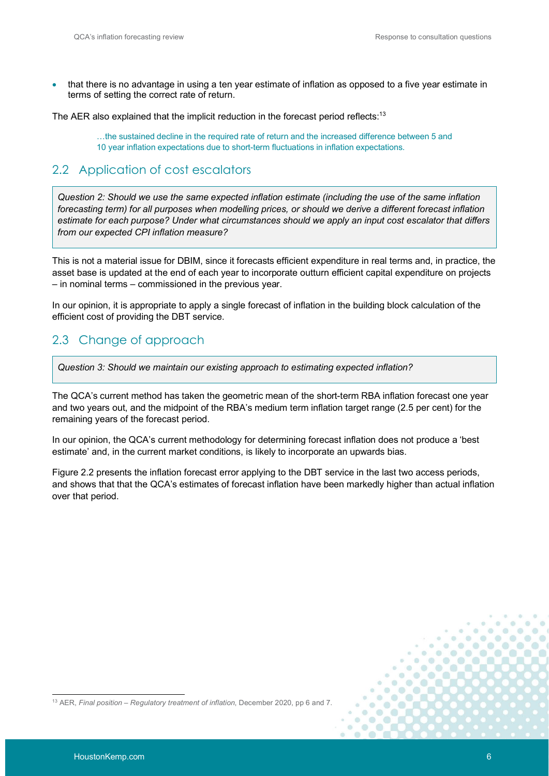that there is no advantage in using a ten year estimate of inflation as opposed to a five year estimate in terms of setting the correct rate of return.

The AER also explained that the implicit reduction in the forecast period reflects:<sup>13</sup>

…the sustained decline in the required rate of return and the increased difference between 5 and 10 year inflation expectations due to short-term fluctuations in inflation expectations.

## 2.2 Application of cost escalators

*Question 2: Should we use the same expected inflation estimate (including the use of the same inflation forecasting term) for all purposes when modelling prices, or should we derive a different forecast inflation estimate for each purpose? Under what circumstances should we apply an input cost escalator that differs from our expected CPI inflation measure?*

This is not a material issue for DBIM, since it forecasts efficient expenditure in real terms and, in practice, the asset base is updated at the end of each year to incorporate outturn efficient capital expenditure on projects – in nominal terms – commissioned in the previous year.

In our opinion, it is appropriate to apply a single forecast of inflation in the building block calculation of the efficient cost of providing the DBT service.

## 2.3 Change of approach

*Question 3: Should we maintain our existing approach to estimating expected inflation?*

The QCA's current method has taken the geometric mean of the short-term RBA inflation forecast one year and two years out, and the midpoint of the RBA's medium term inflation target range (2.5 per cent) for the remaining years of the forecast period.

In our opinion, the QCA's current methodology for determining forecast inflation does not produce a 'best estimate' and, in the current market conditions, is likely to incorporate an upwards bias.

Figure 2.2 presents the inflation forecast error applying to the DBT service in the last two access periods, and shows that that the QCA's estimates of forecast inflation have been markedly higher than actual inflation over that period.

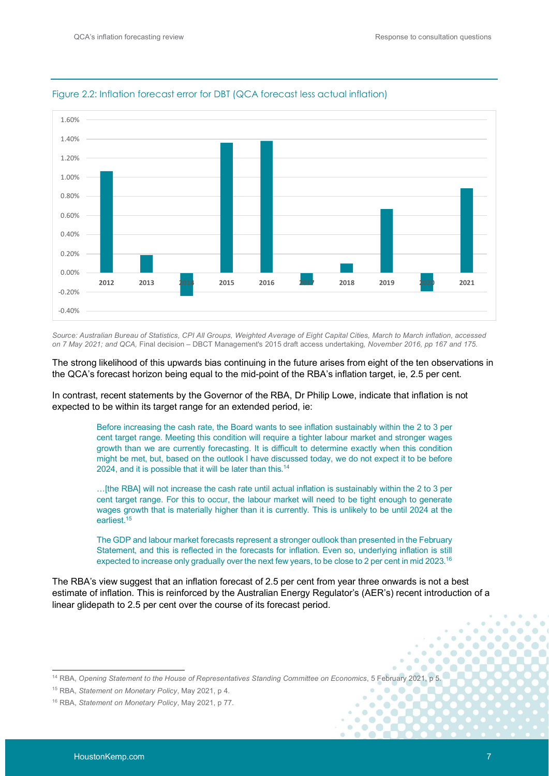

#### Figure 2.2: Inflation forecast error for DBT (QCA forecast less actual inflation)

*Source: Australian Bureau of Statistics, CPI All Groups, Weighted Average of Eight Capital Cities, March to March inflation, accessed on 7 May 2021; and QCA,* Final decision – DBCT Management's 2015 draft access undertaking*, November 2016, pp 167 and 175.*

The strong likelihood of this upwards bias continuing in the future arises from eight of the ten observations in the QCA's forecast horizon being equal to the mid-point of the RBA's inflation target, ie, 2.5 per cent.

In contrast, recent statements by the Governor of the RBA, Dr Philip Lowe, indicate that inflation is not expected to be within its target range for an extended period, ie:

> Before increasing the cash rate, the Board wants to see inflation sustainably within the 2 to 3 per cent target range. Meeting this condition will require a tighter labour market and stronger wages growth than we are currently forecasting. It is difficult to determine exactly when this condition might be met, but, based on the outlook I have discussed today, we do not expect it to be before 2024, and it is possible that it will be later than this.<sup>14</sup>

> …[the RBA] will not increase the cash rate until actual inflation is sustainably within the 2 to 3 per cent target range. For this to occur, the labour market will need to be tight enough to generate wages growth that is materially higher than it is currently. This is unlikely to be until 2024 at the earliest.<sup>15</sup>

> The GDP and labour market forecasts represent a stronger outlook than presented in the February Statement, and this is reflected in the forecasts for inflation. Even so, underlying inflation is still expected to increase only gradually over the next few years, to be close to 2 per cent in mid 2023.<sup>16</sup>

The RBA's view suggest that an inflation forecast of 2.5 per cent from year three onwards is not a best estimate of inflation. This is reinforced by the Australian Energy Regulator's (AER's) recent introduction of a linear glidepath to 2.5 per cent over the course of its forecast period.

 $\overline{a}$  $\ddot{\alpha}$ 

 $\blacksquare$ ×

ö  $\bullet$  $\overline{a}$ 

 $\ddot{\phantom{a}}$ 

 $\Box$ **VO** 

zii.  $\sqrt{2}$ 

in.

 $\overline{a}$  $\alpha$ in.

 $\alpha$  $\circ$ 

 $\overline{\alpha}$ 

 $\alpha$  $\circ$  $\circ$ 

 $\bullet$  $\circ$  $\alpha$ 

 $\bullet$ 

 $\bullet$  $\blacksquare$ 

 $\alpha$  $\odot$  $\bullet$  $\bullet$ 

ö  $\overline{a}$  $\circ$  $\bullet$ 

ä **ID**   $\alpha$  $\circ$ 

 $\blacksquare$ **in** 

<sup>14</sup> RBA, *Opening Statement to the House of Representatives Standing Committee on Economics*, 5 February 2021, p 5.

<sup>15</sup> RBA, *Statement on Monetary Policy*, May 2021, p 4.

<sup>16</sup> RBA, *Statement on Monetary Policy*, May 2021, p 77.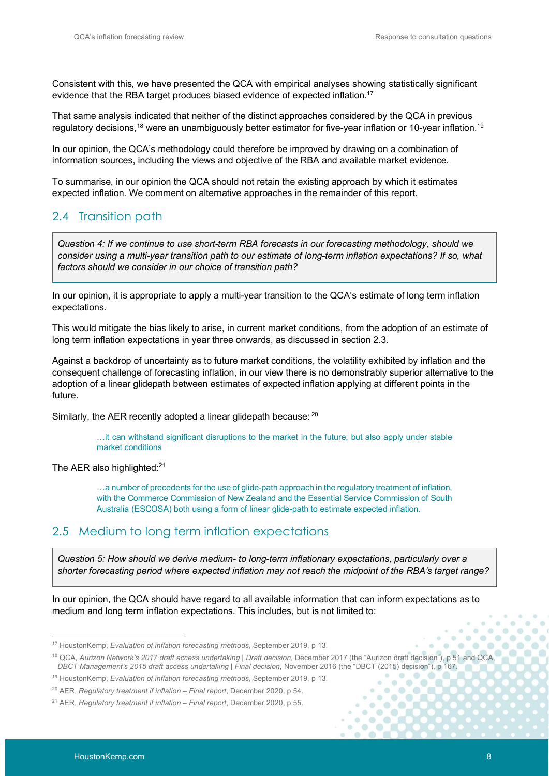Consistent with this, we have presented the QCA with empirical analyses showing statistically significant evidence that the RBA target produces biased evidence of expected inflation.<sup>17</sup>

That same analysis indicated that neither of the distinct approaches considered by the QCA in previous regulatory decisions,<sup>18</sup> were an unambiguously better estimator for five-year inflation or 10-year inflation.<sup>19</sup>

In our opinion, the QCA's methodology could therefore be improved by drawing on a combination of information sources, including the views and objective of the RBA and available market evidence.

To summarise, in our opinion the QCA should not retain the existing approach by which it estimates expected inflation. We comment on alternative approaches in the remainder of this report.

## 2.4 Transition path

*Question 4: If we continue to use short-term RBA forecasts in our forecasting methodology, should we consider using a multi-year transition path to our estimate of long-term inflation expectations? If so, what factors should we consider in our choice of transition path?*

In our opinion, it is appropriate to apply a multi-year transition to the QCA's estimate of long term inflation expectations.

This would mitigate the bias likely to arise, in current market conditions, from the adoption of an estimate of long term inflation expectations in year three onwards, as discussed in section 2.3.

Against a backdrop of uncertainty as to future market conditions, the volatility exhibited by inflation and the consequent challenge of forecasting inflation, in our view there is no demonstrably superior alternative to the adoption of a linear glidepath between estimates of expected inflation applying at different points in the future.

Similarly, the AER recently adopted a linear glidepath because: 20

…it can withstand significant disruptions to the market in the future, but also apply under stable market conditions

The AER also highlighted:<sup>21</sup>

…a number of precedents for the use of glide-path approach in the regulatory treatment of inflation, with the Commerce Commission of New Zealand and the Essential Service Commission of South Australia (ESCOSA) both using a form of linear glide-path to estimate expected inflation.

## 2.5 Medium to long term inflation expectations

*Question 5: How should we derive medium- to long-term inflationary expectations, particularly over a shorter forecasting period where expected inflation may not reach the midpoint of the RBA's target range?*

In our opinion, the QCA should have regard to all available information that can inform expectations as to medium and long term inflation expectations. This includes, but is not limited to:

 $\bullet$  $\bullet$ 

**n**  $\bullet$  $\bullet$ 

 $\triangle$  $\sqrt{2}$ 

 $\bigcirc$ 

<sup>17</sup> HoustonKemp, *Evaluation of inflation forecasting methods*, September 2019, p 13.

<sup>&</sup>lt;sup>18</sup> QCA, Aurizon Network's 2017 draft access undertaking | Draft decision, December 2017 (the "Aurizon draft decision"), p 51 and QCA, *DBCT Management's 2015 draft access undertaking | Final decision*, November 2016 (the "DBCT (2015) decision"), p 167.

<sup>19</sup> HoustonKemp, *Evaluation of inflation forecasting methods*, September 2019, p 13.

<sup>20</sup> AER, *Regulatory treatment if inflation – Final report*, December 2020, p 54.

<sup>21</sup> AER, *Regulatory treatment if inflation – Final report*, December 2020, p 55.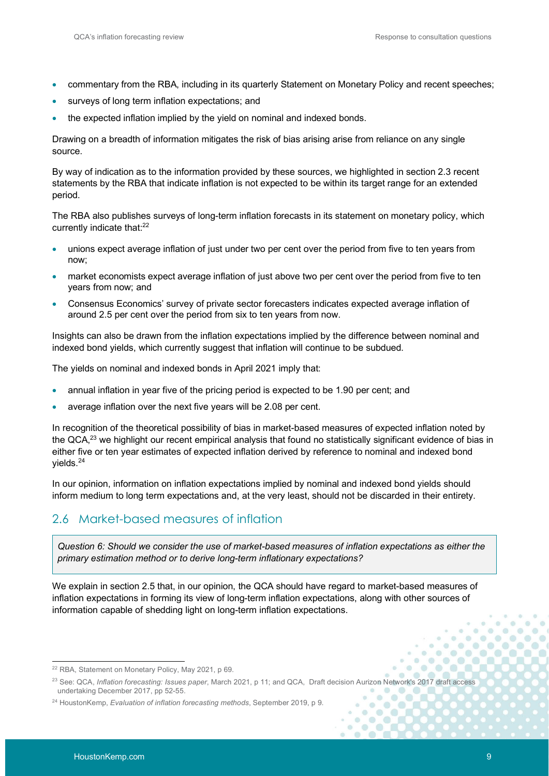- commentary from the RBA, including in its quarterly Statement on Monetary Policy and recent speeches;
- surveys of long term inflation expectations; and
- the expected inflation implied by the yield on nominal and indexed bonds.

Drawing on a breadth of information mitigates the risk of bias arising arise from reliance on any single source.

By way of indication as to the information provided by these sources, we highlighted in section 2.3 recent statements by the RBA that indicate inflation is not expected to be within its target range for an extended period.

The RBA also publishes surveys of long-term inflation forecasts in its statement on monetary policy, which currently indicate that:<sup>22</sup>

- unions expect average inflation of just under two per cent over the period from five to ten years from now;
- market economists expect average inflation of just above two per cent over the period from five to ten years from now; and
- Consensus Economics' survey of private sector forecasters indicates expected average inflation of around 2.5 per cent over the period from six to ten years from now.

Insights can also be drawn from the inflation expectations implied by the difference between nominal and indexed bond yields, which currently suggest that inflation will continue to be subdued.

The yields on nominal and indexed bonds in April 2021 imply that:

- annual inflation in year five of the pricing period is expected to be 1.90 per cent; and
- average inflation over the next five years will be 2.08 per cent.

In recognition of the theoretical possibility of bias in market-based measures of expected inflation noted by the QCA,<sup>23</sup> we highlight our recent empirical analysis that found no statistically significant evidence of bias in either five or ten year estimates of expected inflation derived by reference to nominal and indexed bond yields.<sup>24</sup>

In our opinion, information on inflation expectations implied by nominal and indexed bond yields should inform medium to long term expectations and, at the very least, should not be discarded in their entirety.

## 2.6 Market-based measures of inflation

*Question 6: Should we consider the use of market-based measures of inflation expectations as either the primary estimation method or to derive long-term inflationary expectations?*

We explain in section 2.5 that, in our opinion, the QCA should have regard to market-based measures of inflation expectations in forming its view of long-term inflation expectations, along with other sources of information capable of shedding light on long-term inflation expectations.

 $\alpha$ in.

 $\alpha$  $\alpha$ 

 $\circ$  $\overline{a}$  $\bullet$ **in** 

ä  $\ddot{\circ}$ 

 $\blacksquare$  $\bullet$  $\bigcirc$ 

 $\ddot{\phantom{a}}$  $\bullet$  $\bullet$ 

<sup>22</sup> RBA, Statement on Monetary Policy, May 2021, p 69.

<sup>23</sup> See: QCA, *Inflation forecasting: Issues paper*, March 2021, p 11; and QCA, Draft decision Aurizon Network's 2017 draft access undertaking December 2017, pp 52-55.  $\bullet$  $\bullet$ 

<sup>24</sup> HoustonKemp, *Evaluation of inflation forecasting methods*, September 2019, p 9.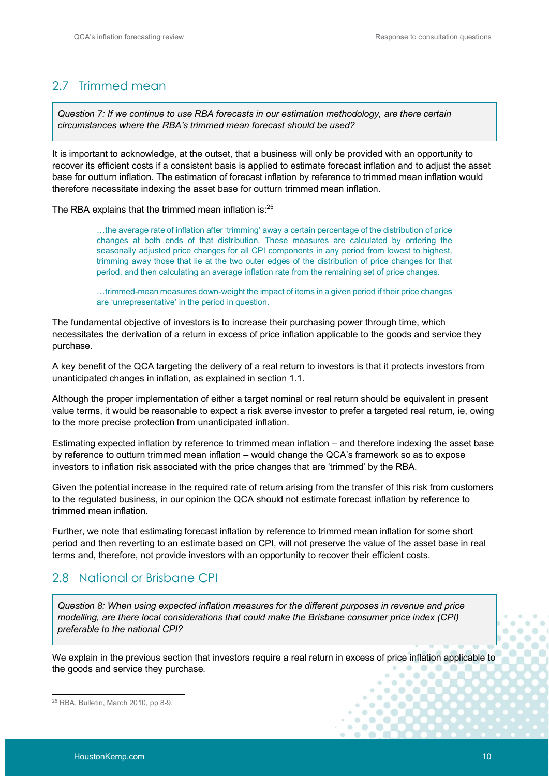## 2.7 Trimmed mean

*Question 7: If we continue to use RBA forecasts in our estimation methodology, are there certain circumstances where the RBA's trimmed mean forecast should be used?*

It is important to acknowledge, at the outset, that a business will only be provided with an opportunity to recover its efficient costs if a consistent basis is applied to estimate forecast inflation and to adjust the asset base for outturn inflation. The estimation of forecast inflation by reference to trimmed mean inflation would therefore necessitate indexing the asset base for outturn trimmed mean inflation.

The RBA explains that the trimmed mean inflation is:<sup>25</sup>

…the average rate of inflation after 'trimming' away a certain percentage of the distribution of price changes at both ends of that distribution. These measures are calculated by ordering the seasonally adjusted price changes for all CPI components in any period from lowest to highest, trimming away those that lie at the two outer edges of the distribution of price changes for that period, and then calculating an average inflation rate from the remaining set of price changes.

…trimmed-mean measures down-weight the impact of items in a given period if their price changes are 'unrepresentative' in the period in question.

The fundamental objective of investors is to increase their purchasing power through time, which necessitates the derivation of a return in excess of price inflation applicable to the goods and service they purchase.

A key benefit of the QCA targeting the delivery of a real return to investors is that it protects investors from unanticipated changes in inflation, as explained in section 1.1.

Although the proper implementation of either a target nominal or real return should be equivalent in present value terms, it would be reasonable to expect a risk averse investor to prefer a targeted real return, ie, owing to the more precise protection from unanticipated inflation.

Estimating expected inflation by reference to trimmed mean inflation – and therefore indexing the asset base by reference to outturn trimmed mean inflation – would change the QCA's framework so as to expose investors to inflation risk associated with the price changes that are 'trimmed' by the RBA.

Given the potential increase in the required rate of return arising from the transfer of this risk from customers to the regulated business, in our opinion the QCA should not estimate forecast inflation by reference to trimmed mean inflation.

Further, we note that estimating forecast inflation by reference to trimmed mean inflation for some short period and then reverting to an estimate based on CPI, will not preserve the value of the asset base in real terms and, therefore, not provide investors with an opportunity to recover their efficient costs.

## 2.8 National or Brisbane CPI

*Question 8: When using expected inflation measures for the different purposes in revenue and price modelling, are there local considerations that could make the Brisbane consumer price index (CPI) preferable to the national CPI?*

We explain in the previous section that investors require a real return in excess of price inflation applicable to the goods and service they purchase.

ö  $\bullet$  $\bullet$ 

 $\frac{1}{2}$  $\bigcirc$  $\bullet$  $\bullet$ 

Y6  $\alpha$  $\blacksquare$ 

 $\circ$  $\blacksquare$  $\bullet$ 

<sup>25</sup> RBA, Bulletin, March 2010, pp 8-9.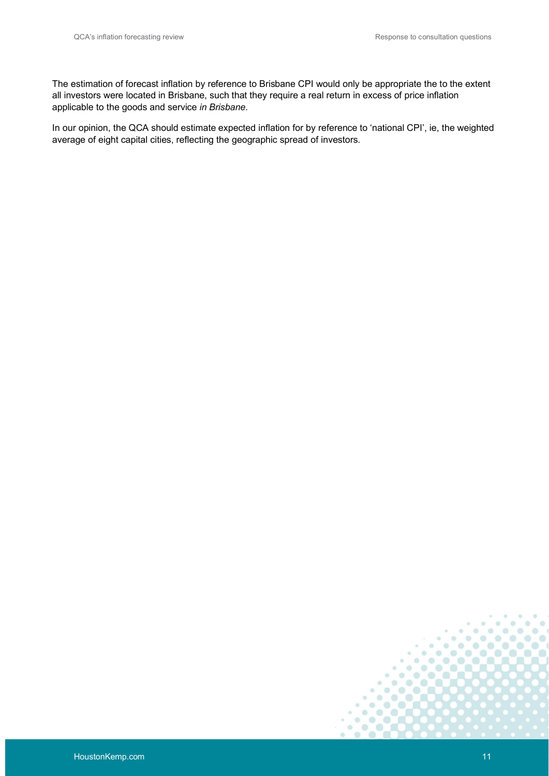The estimation of forecast inflation by reference to Brisbane CPI would only be appropriate the to the extent all investors were located in Brisbane, such that they require a real return in excess of price inflation applicable to the goods and service *in Brisbane*.

In our opinion, the QCA should estimate expected inflation for by reference to 'national CPI', ie, the weighted average of eight capital cities, reflecting the geographic spread of investors.



**m**  $\blacksquare$